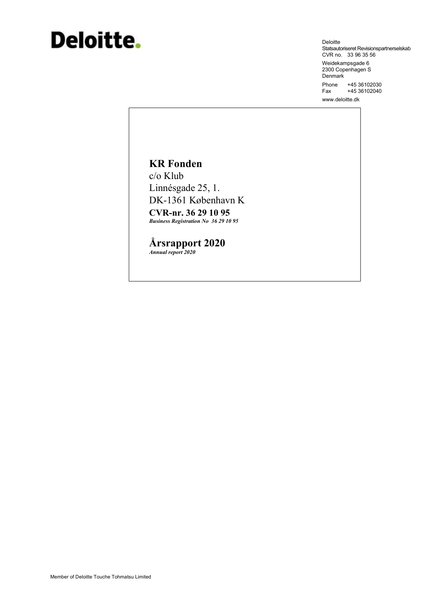# Deloitte.

Deloitte Statsautoriseret Revisionspartnerselskab<br>CVR no. 33 96 35 56 Weidekampsgade 6 2300 Copenhagen S Denmark Phone +45 36102030 +45 36102040 Fax www.deloitte.dk

# **KR** Fonden

c/o Klub Linnésgade 25, 1. DK-1361 København K

**CVR-nr. 36 29 10 95 Business Registration No 36 29 10 95** 

Årsrapport 2020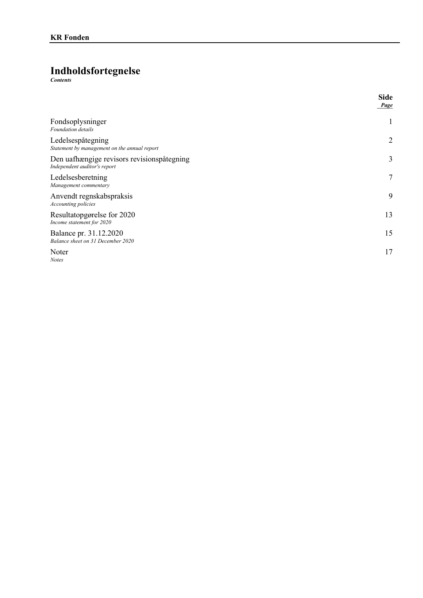# **Indholdsfortegnelse**

 $Contents$ 

|                                                                            | <b>Side</b><br>Page |
|----------------------------------------------------------------------------|---------------------|
| Fondsoplysninger<br><b>Foundation</b> details                              | 1                   |
| Ledelsespåtegning<br>Statement by management on the annual report          | $\overline{2}$      |
| Den uafhængige revisors revisionspåtegning<br>Independent auditor's report | 3                   |
| Ledelsesberetning<br>Management commentary                                 | $\tau$              |
| Anvendt regnskabspraksis<br>Accounting policies                            | 9                   |
| Resultatopgørelse for 2020<br>Income statement for 2020                    | 13                  |
| Balance pr. 31.12.2020<br>Balance sheet on 31 December 2020                | 15                  |
| Noter<br><b>Notes</b>                                                      | 17                  |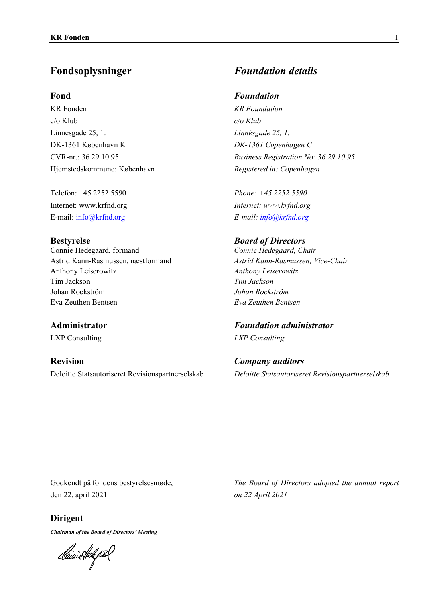# **Fond**

KR Fonden  $c/\sigma$  Klub Linnésgade 25, 1. DK-1361 København K CVR-nr.: 36 29 10 95 Hjemstedskommune: København

Telefon: +45 2252 5590 Internet: www.krfnd.org E-mail: info@krfnd.org

## **Bestyrelse**

Connie Hedegaard, formand Astrid Kann-Rasmussen, næstformand Anthony Leiserowitz Tim Jackson Johan Rockström Eva Zeuthen Bentsen

# **Administrator**

LXP Consulting

**Revision** Deloitte Statsautoriseret Revisionspartnerselskab

# Fondsoplysninger *Foundation details*

# *Foundation*

*KR Foundation c/o Klub*  Linnésgade 25, 1. *DK-1361 Copenhagen C Business Registration No: 36 29 10 95 Registered in: Copenhagen*

*Phone: +45 2252 5590 Internet: www.krfnd.org E-mail: info@krfnd.org*

**Board of Directors** *Connie Hedegaard, Chair Astrid Kann-Rasmussen, Vice-Chair*   $A$ nthony Leiserowitz *Tim Jackson*   $Johan$  Rockström *EYa Zeuthen Bentsen* 

*Foundation administrator LXP Consulting*

*Company auditors Deloitte Statsautoriseret ReYisionspartnerselskab*

Godkendt på fondens bestyrelsesmøde, den 22. april 2021

*The Board of Directors adopted the annual report on 22 April 2021* 

**Dirigent** 

*Chairman of the Board of Directors' Meeting* 

<u> Panistkk f</u> 8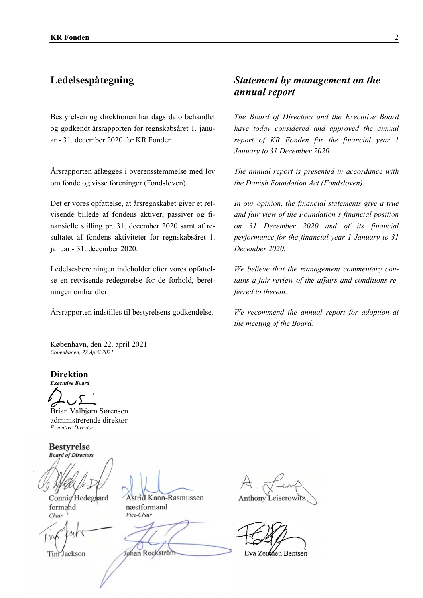Bestyrelsen og direktionen har dags dato behandlet og godkendt årsrapporten for regnskabsåret 1. januar - 31. december 2020 for KR Fonden.

Årsrapporten aflægges i overensstemmelse med lov om fonde og visse foreninger (Fondsloven).

Det er vores opfattelse, at årsregnskabet giver et retvisende billede af fondens aktiver, passiver og finansielle stilling pr. 31. december 2020 samt af resultatet af fondens aktiviteter for regnskabsåret 1. januar - 31. december 2020.

Ledelsesberetningen indeholder efter vores opfattelse en retvisende redegørelse for de forhold, beretningen omhandler.

# Ledelsespåtegning *Statement by management on the annual report*

The Board of Directors and the Executive Board haye today considered and approyed the annual *report of KR Fonden for the financial \ear 1 Januar\ to 31 December 2020.*

*The annual report is presented in accordance with the Danish Foundation Act (Fondsloven).* 

In our opinion, the financial statements give a true *and fair view of the Foundation's financial position on 31 December 2020 and of its financial performance for the financial \ear 1 Januar\ to 31 December 2020.*

We believe that the management commentary contains a fair review of the affairs and conditions re*ferred to therein.*

Årsrapporten indstilles til bestyrelsens godkendelse. *We recommend the annual report for adoption at the meeting of the Board.*

København, den 22. april 2021 *Copenhagen, 22 April 2021* 

**Direktion** 

**Executive Board** 

Brian Valbjørn Sørensen administrerende direktør *Executive Director* 

**Bestyrelse Board of Directors** 

formand næstformand *Chair Vice-Chair* 

Connie Hedegaard Astrid Kann-Rasmussen

Tim Jackson Johan Rockström Eva Zeuthen Bentsen

Anthony Leiserowi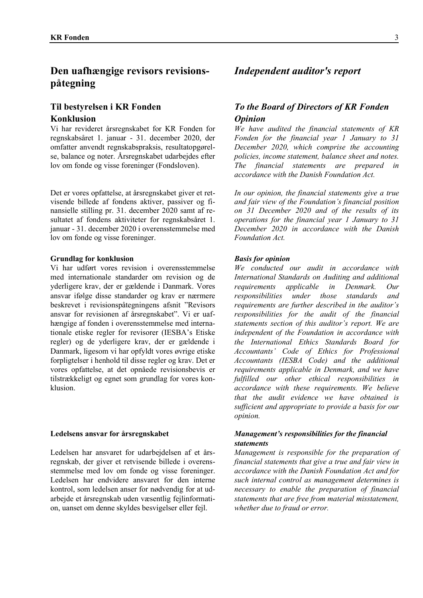# **Til bestyrelsen i KR Fonden Konklusion**

Vi har revideret årsregnskabet for KR Fonden for regnskabsåret 1. januar - 31. december 2020, der omfatter anvendt regnskabspraksis, resultatopgørelse, balance og noter. Årsregnskabet udarbejdes efter lov om fonde og visse foreninger (Fondsloven).

Det er vores opfattelse, at årsregnskabet giver et retvisende billede af fondens aktiver, passiver og finansielle stilling pr. 31. december 2020 samt af resultatet af fondens aktiviteter for regnskabsåret 1. januar - 31. december 2020 i overensstemmelse med lov om fonde og visse foreninger.

### **Grundlag for konklusion**

Vi har udført vores revision i overensstemmelse med internationale standarder om revision og de yderligere krav, der er gældende i Danmark. Vores ansvar ifølge disse standarder og krav er nærmere beskrevet i revisionspåtegningens afsnit "Revisors" ansvar for revisionen af årsregnskabet". Vi er uafhængige af fonden i overensstemmelse med internationale etiske regler for revisorer (IESBA's Etiske regler) og de yderligere krav, der er gældende i Danmark, ligesom vi har opfyldt vores øvrige etiske forpligtelser i henhold til disse regler og krav. Det er vores opfattelse, at det opnåede revisionsbevis er tilstrækkeligt og egnet som grundlag for vores konklusion

### Ledelsens ansvar for årsregnskabet

Ledelsen har ansvaret for udarbejdelsen af et årsregnskab, der giver et retvisende billede i overensstemmelse med loy om fonde og visse foreninger. Ledelsen har endvidere ansvaret for den interne kontrol, som ledelsen anser for nødvendig for at udarbejde et årsregnskab uden væsentlig fejlinformation, uanset om denne skyldes besvigelser eller fejl.

# *Independent auditor's report*

# *To the Board of Directors of KR Fonden Opinion*

*We have audited the financial statements of KR Fonden for the financial \ear 1 Januar\ to 31 December 2020, which comprise the accounting policies, income statement, balance sheet and notes. The financial statements are prepared in accordance with the Danish Foundation Act.* 

*In our opinion, the financial statements give a true and fair view of the Foundation's financial position on 31 December 2020 and of the results of its operations for the financial \ear 1 Januar\ to 31 December 2020 in accordance with the Danish Foundation Act.*

### *Basis for opinion*

*We conducted our audit in accordance with International Standards on Auditing and additional requirements applicable in Denmark. Our responsibilities under those standards and requirements are further described in the auditor's responsibilities for the audit of the financial statements section of this auditor¶s report. We are independent of the Foundation in accordance with the International Ethics Standards Board for Accountants¶ Code of Ethics for Professional Accountants (IESBA Code) and the additional requirements applicable in Denmark, and we have fulfilled our other ethical responsibilities in accordance Zith these requirements. We belieYe that the audit evidence we have obtained is sufficient and appropriate to provide a basis for our opinion.*

# *Management's responsibilities for the financial statements*

*Management is responsible for the preparation of financial statements that give a true and fair view in accordance Zith the Danish Foundation Act and for such internal control as management determines is necessar\ to enable the preparation of financial statements that are free from material misstatement, zhether due to fraud or error.*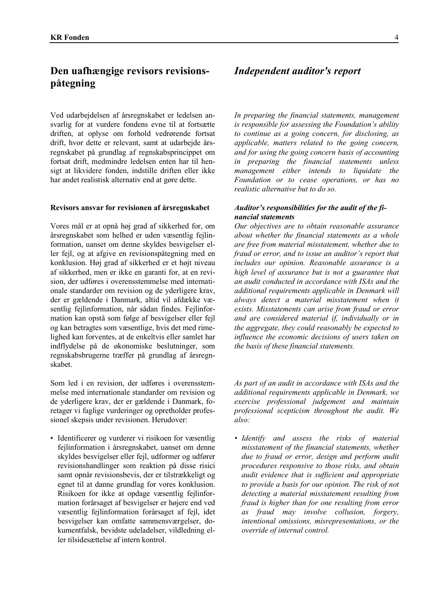Ved udarbejdelsen af årsregnskabet er ledelsen ansvarlig for at vurdere fondens evne til at fortsætte driften, at oplyse om forhold vedrørende fortsat drift, hvor dette er relevant, samt at udarbejde årsregnskabet på grundlag af regnskabsprincippet om fortsat drift, medmindre ledelsen enten har til hensigt at likvidere fonden, indstille driften eller ikke har andet realistisk alternativ end at gøre dette.

### Revisors ansvar for revisionen af årsregnskabet

Vores mål er at opnå høj grad af sikkerhed for, om årsregnskabet som helhed er uden væsentlig fejlinformation, uanset om denne skyldes besvigelser eller fejl, og at afgive en revisionspåtegning med en konklusion. Høj grad af sikkerhed er et højt niveau af sikkerhed, men er ikke en garanti for, at en revision, der udføres i overensstemmelse med internationale standarder om revision og de yderligere krav, der er gældende i Danmark, altid vil afdække væsentlig fejlinformation, når sådan findes. Fejlinformation kan opstå som følge af besvigelser eller fejl og kan betragtes som væsentlige, hvis det med rimelighed kan forventes, at de enkeltvis eller samlet har indflydelse på de økonomiske beslutninger, som regnskabsbrugerne træffer på grundlag af årsregnskabet.

Som led *i* en revision, der udføres *i* overensstemmelse med internationale standarder om revision og de yderligere krav, der er gældende i Danmark, foretager vi faglige vurderinger og opretholder professionel skepsis under revisionen. Herudover:

· Identificerer og vurderer vi risikoen for væsentlig fejlinformation i årsregnskabet, uanset om denne skyldes besvigelser eller fejl, udformer og udfører revisionshandlinger som reaktion på disse risici samt opnår revisionsbevis, der er tilstrækkeligt og egnet til at danne grundlag for vores konklusion. Risikoen for ikke at opdage væsentlig fejlinformation forårsaget af besvigelser er højere end ved væsentlig feilinformation forårsaget af feil, idet besvigelser kan omfatte sammensværgelser, dokumentfalsk, bevidste udeladelser, vildledning eller tilsidesættelse af intern kontrol.

# **Independent auditor's report**

In preparing the financial statements, management is responsible for assessing the Foundation's ability to continue as a going concern, for disclosing, as applicable, matters related to the going concern, and for using the going concern basis of accounting in preparing the financial statements unless management either intends to liquidate the Foundation or to cease operations, or has no realistic alternative but to do so.

### Auditor's responsibilities for the audit of the financial statements

Our objectives are to obtain reasonable assurance about whether the financial statements as a whole are free from material misstatement, whether due to fraud or error, and to issue an auditor's report that includes our opinion. Reasonable assurance is a high level of assurance but is not a guarantee that an audit conducted in accordance with ISAs and the additional requirements applicable in Denmark will always detect a material misstatement when it exists. Misstatements can arise from fraud or error and are considered material if, individually or in the aggregate, they could reasonably be expected to influence the economic decisions of users taken on the basis of these financial statements.

As part of an audit in accordance with ISAs and the additional requirements applicable in Denmark, we exercise professional judgement and maintain professional scepticism throughout the audit. We  $also:$ 

· Identify and assess the risks of material misstatement of the financial statements, whether due to fraud or error, design and perform audit procedures responsive to those risks, and obtain audit evidence that is sufficient and appropriate to provide a basis for our opinion. The risk of not detecting a material misstatement resulting from fraud is higher than for one resulting from error as fraud may involve collusion, forgery, intentional omissions, misrepresentations, or the override of internal control.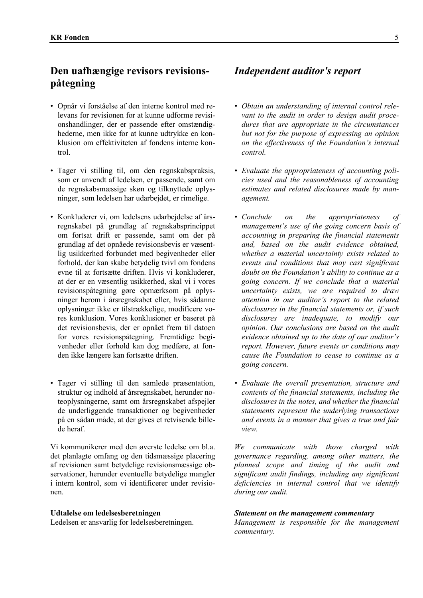- Opnår vi forståelse af den interne kontrol med releyans for revisionen for at kunne udforme revisionshandlinger, der er passende efter omstændighederne, men ikke for at kunne udtrykke en konklusion om effektiviteten af fondens interne kontrol.
- Tager vi stilling til, om den regnskabspraksis, som er anvendt af ledelsen, er passende, samt om de regnskabsmæssige skøn og tilknyttede oplysninger, som ledelsen har udarbejdet, er rimelige.
- Konkluderer vi, om ledelsens udarbejdelse af årsregnskabet på grundlag af regnskabsprincippet om fortsat drift er passende, samt om der på grundlag af det opnåede revisionsbevis er væsentlig usikkerhed forbundet med begivenheder eller forhold, der kan skabe betydelig tvivl om fondens evne til at fortsætte driften. Hvis vi konkluderer, at der er en væsentlig usikkerhed, skal vi i vores revisionspåtegning gøre opmærksom på oplysninger herom i årsregnskabet eller, hvis sådanne oplysninger ikke er tilstrækkelige, modificere vores konklusion. Vores konklusioner er baseret på det revisionsbevis, der er opnået frem til datoen for vores revisionspåtegning. Fremtidige begivenheder eller forhold kan dog medføre, at fonden ikke længere kan fortsætte driften.
- Tager vi stilling til den samlede præsentation, struktur og indhold af årsregnskabet, herunder noteoplysningerne, samt om årsregnskabet afspejler de underliggende transaktioner og begivenheder på en sådan måde, at der gives et retvisende billede heraf.

Vi kommunikerer med den øverste ledelse om bl.a. det planlagte omfang og den tidsmæssige placering af revisionen samt betydelige revisionsmæssige observationer, herunder eventuelle betydelige mangler i intern kontrol, som vi identificerer under revisionen.

### **Udtalelse om ledelsesberetningen**

Ledelsen er ansvarlig for ledelsesberetningen.

# *Independent auditor's report*

- *Obtain an understanding of internal control rele-Yant to the audit in order to design audit procedures that are appropriate in the circumstances but not for the purpose of expressing an opinion on the effectiveness of the Foundation's internal control.*
- *EYaluate the appropriateness of accounting policies used and the reasonableness of accounting estimates and related disclosures made b\ management.*
- *Conclude on the appropriateness of management's use of the going concern basis of accounting in preparing the financial statements*  and, based on the audit evidence obtained, *whether a material uncertainty exists related to eYents and conditions that ma\ cast significant doubt on the Foundation¶s abilit\ to continue as a*  going concern. If we conclude that a material *uncertainty exists, we are required to draw attention in our auditor¶s report to the related disclosures in the financial statements or, if such disclosures are inadequate, to modif\ our opinion. Our conclusions are based on the audit evidence obtained up to the date of our auditor's report. However, future events or conditions may cause the Foundation to cease to continue as a going concern.*
- *EYaluate the oYerall presentation, structure and contents of the financial statements, including the*  disclosures in the notes, and whether the financial *statements represent the underl\ing transactions and events in a manner that gives a true and fair*  $view.$

*We communicate with those charged with goYernance regarding, among other matters, the planned scope and timing of the audit and significant audit findings, including an\ significant deficiencies in internal control that we identify during our audit.*

### *Statement on the management commentary*

*Management is responsible for the management commentar\.*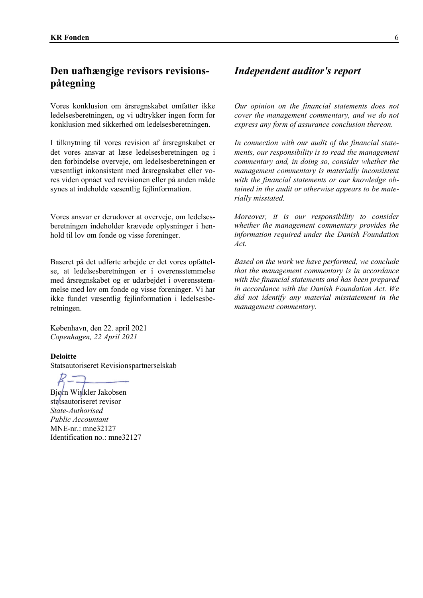Vores konklusion om årsregnskabet omfatter ikke ledelsesberetningen, og vi udtrykker ingen form for konklusion med sikkerhed om ledelsesberetningen.

I tilknytning til vores revision af årsregnskabet er det vores ansvar at læse ledelsesberetningen og i den forbindelse overveje, om ledelsesberetningen er væsentligt inkonsistent med årsregnskabet eller vores viden opnået ved revisionen eller på anden måde synes at indeholde væsentlig fejlinformation.

Vores ansvar er derudover at overveje, om ledelsesberetningen indeholder krævede oplysninger i henhold til lov om fonde og visse foreninger.

Baseret på det udførte arbejde er det vores opfattelse, at ledelsesberetningen er i overensstemmelse med årsregnskabet og er udarbejdet i overensstemmelse med loY om fonde og Yisse foreninger. Vi har ikke fundet væsentlig fejlinformation i ledelsesberetningen.

København, den 22. april 2021 *Copenhagen, 22 April 2021* 

**Deloitte** Statsautoriseret Revisionspartnerselskab

Bjørn Winkler Jakobsen statsautoriseret revisor *State-Authorised Public Accountant*  MNE-nr.: mne32127 Identification no.: mne32127

# *Independent auditor's report*

*Our opinion on the financial statements does not cover the management commentary, and we do not express any form of assurance conclusion thereon.* 

In connection with our audit of the financial state*ments, our responsibility is to read the management commentary and, in doing so, consider whether the management commentar\ is materiall\ inconsistent*  with the financial statements or our knowledge ob*tained in the audit or otherwise appears to be materiall\ misstated.* 

*Moreover, it is our responsibility to consider whether the management commentary provides the information required under the Danish Foundation Act.*

*Based on the work we have performed, we conclude that the management commentar\ is in accordance*  with the financial statements and has been prepared *in accordance with the Danish Foundation Act. We did not identif\ an\ material misstatement in the management commentar\.*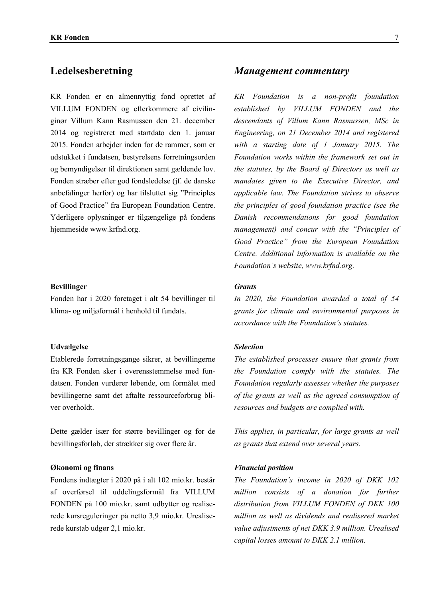KR Fonden er en almennyttig fond oprettet af VILLUM FONDEN og efterkommere af civilinginør Villum Kann Rasmussen den 21. december 2014 og registreret med startdato den 1. januar 2015. Fonden arbejder inden for de rammer, som er udstukket i fundatsen, bestyrelsens forretningsorden og bemyndigelser til direktionen samt gældende lov. Fonden stræber efter god fondsledelse (jf. de danske anbefalinger herfor) og har tilsluttet sig "Principles" of Good Practice" fra European Foundation Centre. Yderligere oplysninger er tilgængelige på fondens hjemmeside www.krfnd.org.

### **Bevillinger**

Fonden har i 2020 foretaget i alt 54 bevillinger til klima- og miljøformål i henhold til fundats.

### Udvælgelse

Etablerede forretningsgange sikrer, at bevillingerne fra KR Fonden sker i overensstemmelse med fundatsen. Fonden vurderer løbende, om formålet med bevillingerne samt det aftalte ressourceforbrug bliver overholdt.

Dette gælder især for større bevillinger og for de bevillingsforløb, der strækker sig over flere år.

### **Økonomi** og finans

Fondens indtægter i 2020 på i alt 102 mio.kr. består af overførsel til uddelingsformål fra VILLUM FONDEN på 100 mio.kr. samt udbytter og realiserede kursreguleringer på netto 3,9 mio.kr. Urealiserede kurstab udgør 2,1 mio.kr.

# Ledelsesberetning *Management commentary*

*KR Foundation is a non-profit foundation established b\ VILLUM FONDEN and the descendants of Villum Kann Rasmussen, MSc in Engineering, on 21 December 2014 and registered*  with a starting date of 1 January 2015. The *Foundation works within the framework set out in the statutes, by the Board of Directors as well as mandates given to the Executive Director, and applicable law. The Foundation strives to observe the principles of good foundation practice (see the Danish recommendations for good foundation management*) and concur with the "Principles of *Good Practice´ from the European Foundation Centre. Additional information is available on the Foundation's website, www.krfnd.org.* 

### *Grants*

In 2020, the Foundation awarded a total of 54 *grants for climate and enYironmental purposes in accordance with the Foundation's statutes.* 

# *Selection*

*The established processes ensure that grants from the Foundation compl\ Zith the statutes. The Foundation regularly assesses whether the purposes of the grants as well as the agreed consumption of resources and budgets are complied with.* 

*This applies, in particular, for large grants as well as grants that extend over several years.* 

### *Financial position*

*The Foundation's income in 2020 of DKK 102 million consists of a donation for further distribution from VILLUM FONDEN of DKK 100*  million as well as dividends and realisered market *Yalue adjustments of net DKK 3.9 million. Urealised capital losses amount to DKK 2.1 million.*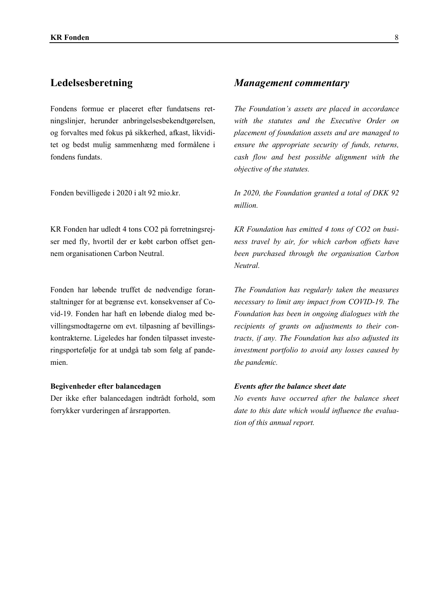Fondens formue er placeret efter fundatsens retningslinjer, herunder anbringelsesbekendtgørelsen, og forvaltes med fokus på sikkerhed, afkast, likviditet og bedst mulig sammenhæng med formålene i fondens fundats.

Fonden bevilligede i 2020 i alt 92 mio.kr.

KR Fonden har udledt 4 tons CO2 på forretningsrejser med fly, hvortil der er købt carbon offset gennem organisationen Carbon Neutral.

Fonden har løbende truffet de nødvendige foranstaltninger for at begrænse evt. konsekvenser af Covid-19. Fonden har haft en løbende dialog med bevillingsmodtagerne om evt. tilpasning af bevillingskontrakterne. Ligeledes har fonden tilpasset investeringsportefølje for at undgå tab som følg af pandemien.

## **Begivenheder efter balancedagen**

Der ikke efter balancedagen indtrådt forhold, som forrykker vurderingen af årsrapporten.

# Ledelsesberetning *Management commentary*

*The Foundation¶s assets are placed in accordance*  with the statutes and the Executive Order on *placement of foundation assets and are managed to ensure the appropriate securit\ of funds, returns,*   $cash$  *flow and best possible alignment with the <i>objective of the statutes.* 

*In 2020, the Foundation granted a total of DKK 92 million.* 

*KR Foundation has emitted 4 tons of CO2 on business travel by air, for which carbon offsets have been purchased through the organisation Carbon Neutral.* 

*The Foundation has regularl\ taken the measures necessar\ to limit an\ impact from COVID-19. The Foundation has been in ongoing dialogues with the recipients of grants on adjustments to their contracts, if an\. The Foundation has also adjusted its investment portfolio to avoid any losses caused by the pandemic.* 

### *Events after the balance sheet date*

*No events have occurred after the balance sheet* date to this date which would influence the evalua*tion of this annual report.*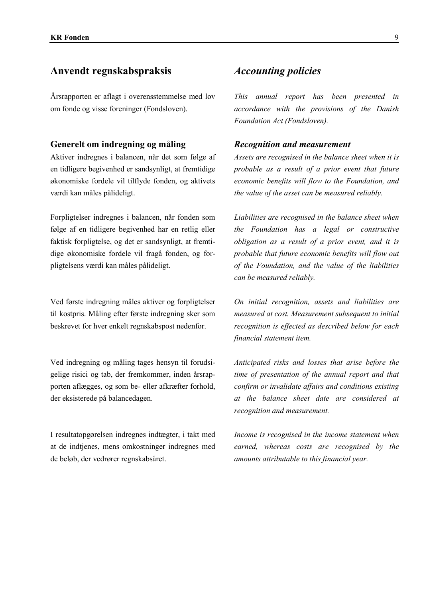# Anvendt regnskabspraksis *Accounting policies*

Årsrapporten er aflagt i overensstemmelse med lov om fonde og Yisse foreninger (FondsloYen).

# **Generelt om indregning og måling**

Aktiver indregnes i balancen, når det som følge af en tidligere begivenhed er sandsynligt, at fremtidige økonomiske fordele vil tilflyde fonden, og aktivets værdi kan måles pålideligt.

Forpligtelser indregnes i balancen, når fonden som følge af en tidligere begivenhed har en retlig eller faktisk forpligtelse, og det er sandsynligt, at fremtidige økonomiske fordele vil fragå fonden, og forpligtelsens værdi kan måles pålideligt.

Ved første indregning måles aktiver og forpligtelser til kostpris. Måling efter første indregning sker som beskrevet for hver enkelt regnskabspost nedenfor.

Ved indregning og måling tages hensyn til forudsigelige risici og tab, der fremkommer, inden årsrapporten aflægges, og som be- eller afkræfter forhold, der eksisterede på balancedagen.

I resultatopgørelsen indregnes indtægter, i takt med at de indtjenes, mens omkostninger indregnes med de beløb, der vedrører regnskabsåret.

*This annual report has been presented in accordance Zith the proYisions of the Danish*  **Foundation Act (Fondsloven).** 

# *Recognition and measurement*

*Assets are recognised in the balance sheet when it is probable as a result of a prior event that future economic benefits will flow to the Foundation, and the Yalue of the asset can be measured reliabl\.*

*Liabilities are recognised in the balance sheet when the Foundation has a legal or constructive obligation as a result of a prior event, and it is probable that future economic benefits will flow out of the Foundation, and the Yalue of the liabilities can be measured reliabl\.*

*On initial recognition, assets and liabilities are measured at cost. Measurement subsequent to initial recognition is effected as described below for each financial statement item.*

*Anticipated risks and losses that arise before the time of presentation of the annual report and that confirm or invalidate affairs and conditions existing at the balance sheet date are considered at recognition and measurement.*

*Income is recognised in the income statement when* earned, whereas costs are recognised by the *amounts attributable to this financial \ear.*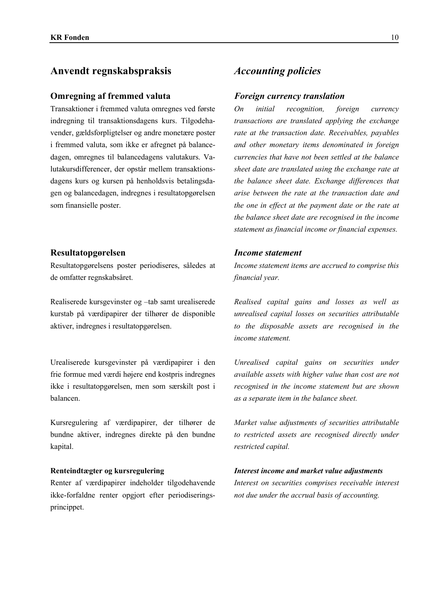# Anvendt regnskabspraksis *Accounting policies*

### **Omregning af fremmed valuta**

Transaktioner i fremmed valuta omregnes ved første indregning til transaktionsdagens kurs. Tilgodehavender, gældsforpligtelser og andre monetære poster i fremmed valuta, som ikke er afregnet på balancedagen, omregnes til balancedagens valutakurs. Valutakursdifferencer, der opstår mellem transaktionsdagens kurs og kursen på henholdsvis betalingsdagen og balancedagen, indregnes i resultatopgørelsen som finansielle poster.

# **Resultatopgørelsen**

Resultatopgørelsens poster periodiseres, således at de omfatter regnskabsåret.

Realiserede kursgevinster og -tab samt urealiserede kurstab på værdipapirer der tilhører de disponible aktiver, indregnes i resultatopgørelsen.

Urealiserede kursgevinster på værdipapirer i den frie formue med værdi højere end kostpris indregnes ikke i resultatopgørelsen, men som særskilt post i balancen.

Kursregulering af værdipapirer, der tilhører de bundne aktiver, indregnes direkte på den bundne kapital.

## **Renteindtægter og kursregulering**

Renter af værdipapirer indeholder tilgodehavende ikke-forfaldne renter opgjort efter periodiseringsprincippet.

### *Foreign currency translation*

*On initial recognition, foreign currenc\ transactions are translated applying the exchange rate at the transaction date. Receivables, payables and other monetar\ items denominated in foreign currencies that have not been settled at the balance sheet date are translated using the exchange rate at the balance sheet date. Exchange differences that arise between the rate at the transaction date and the one in effect at the payment date or the rate at the balance sheet date are recognised in the income statement as financial income or financial expenses.* 

# *Income statement*

*Income statement items are accrued to comprise this financial \ear.* 

*Realised capital gains and losses as well as unrealised capital losses on securities attributable to the disposable assets are recognised in the income statement.*

*Unrealised capital gains on securities under aYailable assets Zith higher Yalue than cost are not recognised in the income statement but are shown as a separate item in the balance sheet.*

*Market Yalue adjustments of securities attributable to restricted assets are recognised directl\ under restricted capital.* 

# *Interest income and market value adjustments*

Interest on securities comprises receivable interest *not due under the accrual basis of accounting.*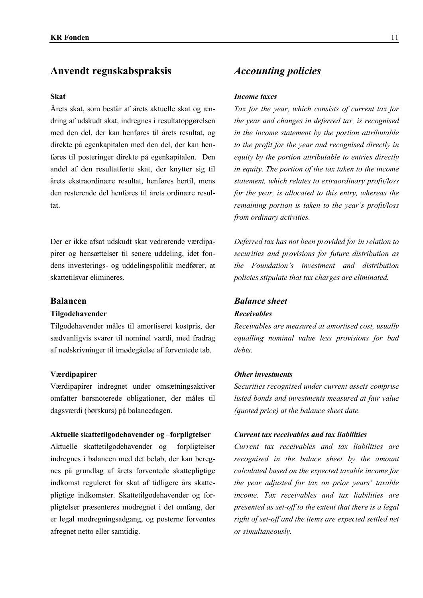# Anvendt regnskabspraksis *<i>Accounting policies*

### **Skat**

Årets skat, som består af årets aktuelle skat og ændring af udskudt skat, indregnes i resultatopgørelsen med den del, der kan henføres til årets resultat, og direkte på egenkapitalen med den del, der kan henføres til posteringer direkte på egenkapitalen. Den andel af den resultatførte skat, der knytter sig til årets ekstraordinære resultat, henføres hertil, mens den resterende del henføres til årets ordinære resultat.

Der er ikke afsat udskudt skat vedrørende værdipapirer og hensættelser til senere uddeling, idet fondens investerings- og uddelingspolitik medfører, at skattetilsvar elimineres

### **Tilgodehavender**

Tilgodehavender måles til amortiseret kostpris, der sædvanligvis svarer til nominel værdi, med fradrag af nedskrivninger til imødegåelse af forventede tab.

### **V**ærdipapirer

Værdipapirer indregnet under omsætningsaktiver omfatter børsnoterede obligationer, der måles til dagsværdi (børskurs) på balancedagen.

### Aktuelle skattetilgodehavender og -forpligtelser *Current tax receivables and tax liabilities*

Aktuelle skattetilgodehavender og -forpligtelser indregnes i balancen med det beløb, der kan beregnes på grundlag af årets forventede skattepligtige indkomst reguleret for skat af tidligere års skattepligtige indkomster. Skattetilgodehavender og forpligtelser præsenteres modregnet i det omfang, der er legal modregningsadgang, og posterne forventes afregnet netto eller samtidig.

### *Income taxes*

*Tax for the year, which consists of current tax for the year and changes in deferred tax, is recognised in the income statement b\ the portion attributable to the profit for the \ear and recognised directl\ in equit\ b\ the portion attributable to entries directl\ in equity. The portion of the tax taken to the income statement, which relates to extraordinary profit/loss for the year, is allocated to this entry, whereas the remaining portion is taken to the year's profit/loss from ordinary activities.* 

*Deferred ta[ has not been proYided for in relation to*  securities and provisions for future distribution as *the Foundation¶s inYestment and distribution policies stipulate that tax charges are eliminated.* 

# **Balancen** *Balance sheet Receivables*

*ReceiYables are measured at amortised cost, usuall\ equalling nominal value less provisions for bad debts.*

### *Other investments*

*Securities recognised under current assets comprise listed bonds and inYestments measured at fair Yalue (quoted price) at the balance sheet date.*

*Current tax receivables and tax liabilities are recognised in the balace sheet b\ the amount calculated based on the expected taxable income for the year adjusted for tax on prior years' taxable income. Tax receivables and tax liabilities are presented as set-off to the extent that there is a legal right of set-off and the items are expected settled net or simultaneousl\.*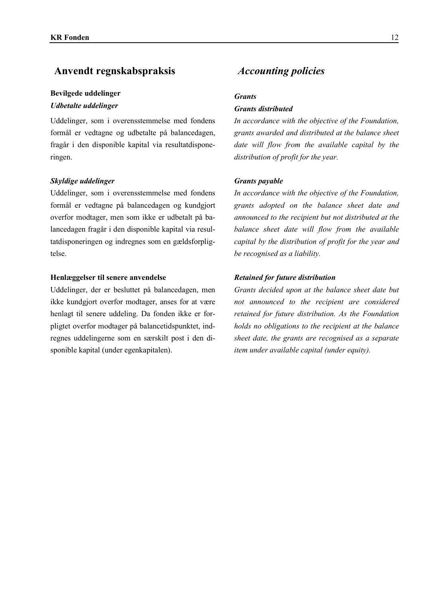# Anvendt regnskabspraksis *Accounting policies*

## **Bevilgede uddelinger**

## *<i>Udbetalte* uddelinger

Uddelinger, som i overensstemmelse med fondens formål er vedtagne og udbetalte på balancedagen, fragår i den disponible kapital via resultatdisponeringen.

### *Skyldige uddelinger Grants payable*

Uddelinger, som i overensstemmelse med fondens formål er vedtagne på balancedagen og kundgjort overfor modtager, men som ikke er udbetalt på balancedagen fragår i den disponible kapital via resultatdisponeringen og indregnes som en gældsforpligtelse.

## **Henlæggelser til senere anvendelse** *Retained for future distribution*

Uddelinger, der er besluttet på balancedagen, men ikke kundgjort overfor modtager, anses for at være henlagt til senere uddeling. Da fonden ikke er forpligtet overfor modtager på balancetidspunktet, indregnes uddelingerne som en særskilt post i den disponible kapital (under egenkapitalen).

### *Grants*

# *Grants distributed*

In accordance with the objective of the Foundation, grants awarded and distributed at the balance sheet date will flow from the available capital by the *distribution of profit for the \ear.*

In accordance with the objective of the Foundation, *grants adopted on the balance sheet date and announced to the recipient but not distributed at the balance sheet date will flow from the available capital b\ the distribution of profit for the \ear and be recognised as a liabilit\.*

*Grants decided upon at the balance sheet date but not announced to the recipient are considered retained for future distribution. As the Foundation holds no obligations to the recipient at the balance sheet date, the grants are recognised as a separate item under available capital (under equity).*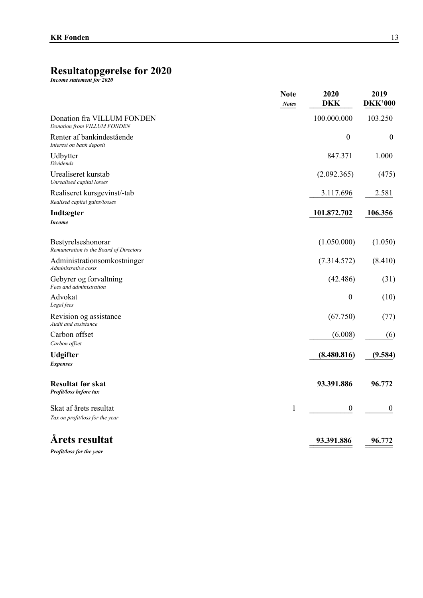# Resultatopgørelse for 2020

|                                                              | <b>Note</b><br><b>Notes</b> | 2020<br><b>DKK</b> | 2019<br><b>DKK'000</b> |
|--------------------------------------------------------------|-----------------------------|--------------------|------------------------|
| Donation fra VILLUM FONDEN<br>Donation from VILLUM FONDEN    |                             | 100.000.000        | 103.250                |
| Renter af bankindestående<br>Interest on bank deposit        |                             | $\boldsymbol{0}$   | $\boldsymbol{0}$       |
| Udbytter<br><b>Dividends</b>                                 |                             | 847.371            | 1.000                  |
| Urealiseret kurstab<br>Unrealised capital losses             |                             | (2.092.365)        | (475)                  |
| Realiseret kursgevinst/-tab<br>Realised capital gains/losses |                             | 3.117.696          | 2.581                  |
| Indtægter<br><b>Income</b>                                   |                             | 101.872.702        | 106.356                |
| Bestyrelseshonorar<br>Remuneration to the Board of Directors |                             | (1.050.000)        | (1.050)                |
| Administrationsomkostninger<br>Administrative costs          |                             | (7.314.572)        | (8.410)                |
| Gebyrer og forvaltning<br>Fees and administration            |                             | (42.486)           | (31)                   |
| Advokat<br>Legal fees                                        |                             | $\boldsymbol{0}$   | (10)                   |
| Revision og assistance<br>Audit and assistance               |                             | (67.750)           | (77)                   |
| Carbon offset<br>Carbon offset                               |                             | (6.008)            | (6)                    |
| <b>Udgifter</b><br><b>Expenses</b>                           |                             | (8.480.816)        | (9.584)                |
| <b>Resultat før skat</b><br>Profit/loss before tax           |                             | 93.391.886         | 96.772                 |
| Skat af årets resultat<br>Tax on profit/loss for the year    | 1                           | $\boldsymbol{0}$   | $\theta$               |
| <b>Årets resultat</b><br>Profit/loss for the year            |                             | 93.391.886         | 96.772                 |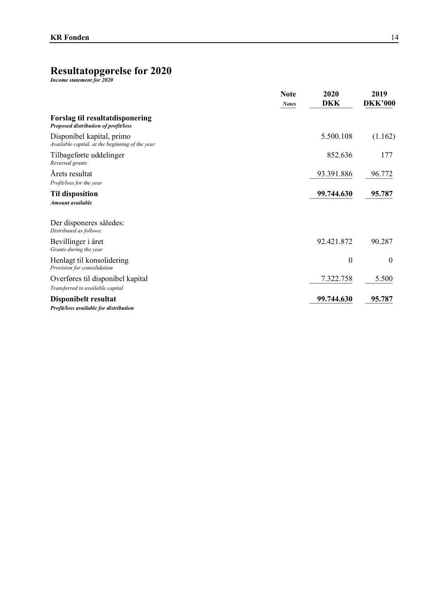# Resultatopgørelse for 2020

|                                                                              | <b>Note</b><br><b>Notes</b> | 2020<br><b>DKK</b> | 2019<br><b>DKK'000</b> |
|------------------------------------------------------------------------------|-----------------------------|--------------------|------------------------|
| Forslag til resultatdisponering<br>Proposed distribution of profit/loss      |                             |                    |                        |
| Disponibel kapital, primo<br>Available capital, at the beginning of the year |                             | 5.500.108          | (1.162)                |
| Tilbageførte uddelinger<br>Reversed grants                                   |                             | 852.636            | 177                    |
| Årets resultat<br>Profit/loss for the year                                   |                             | 93.391.886         | 96.772                 |
| <b>Til disposition</b><br>Amount available                                   |                             | 99.744.630         | 95.787                 |
| Der disponeres således:<br>Distributed as follows:                           |                             |                    |                        |
| Bevillinger i året<br>Grants during the year                                 |                             | 92.421.872         | 90.287                 |
| Henlagt til konsolidering<br>Provision for consolidation                     |                             | $\boldsymbol{0}$   | $\boldsymbol{0}$       |
| Overføres til disponibel kapital<br>Transferred to available capital         |                             | 7.322.758          | 5.500                  |
| Disponibelt resultat<br>Profit/loss available for distribution               |                             | 99.744.630         | 95.787                 |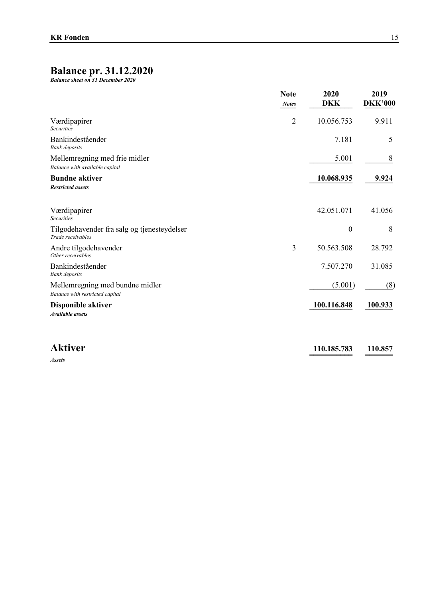# **Balance pr. 31.12.2020**

*Balance sheet on 31 December 2020* 

|                                                                    | <b>Note</b><br><b>Notes</b> | 2020<br><b>DKK</b> | 2019<br><b>DKK'000</b> |
|--------------------------------------------------------------------|-----------------------------|--------------------|------------------------|
| Værdipapirer<br><b>Securities</b>                                  | $\overline{2}$              | 10.056.753         | 9.911                  |
| Bankindeståender<br><b>Bank</b> deposits                           |                             | 7.181              | 5                      |
| Mellemregning med frie midler<br>Balance with available capital    |                             | 5.001              | 8                      |
| <b>Bundne aktiver</b><br><b>Restricted assets</b>                  |                             | 10.068.935         | 9.924                  |
| Værdipapirer<br><b>Securities</b>                                  |                             | 42.051.071         | 41.056                 |
| Tilgodehavender fra salg og tjenesteydelser<br>Trade receivables   |                             | $\boldsymbol{0}$   | 8                      |
| Andre tilgodehavender<br>Other receivables                         | 3                           | 50.563.508         | 28.792                 |
| Bankindeståender<br><b>Bank</b> deposits                           |                             | 7.507.270          | 31.085                 |
| Mellemregning med bundne midler<br>Balance with restricted capital |                             | (5.001)            | (8)                    |
| Disponible aktiver<br><b>Available</b> assets                      |                             | 100.116.848        | 100.933                |

**Aktiver** 110.185.783 110.857 *Assets*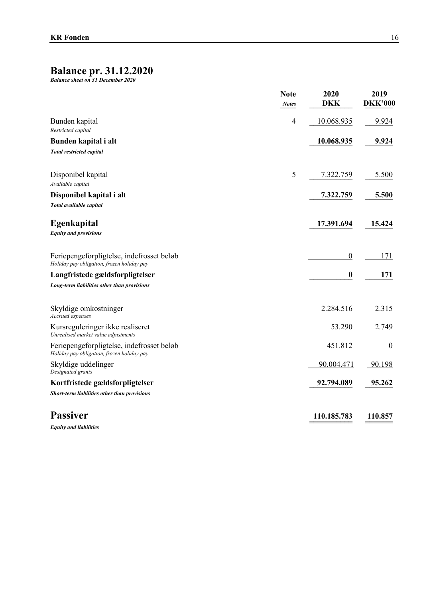# **Balance pr. 31.12.2020**<br>Balance sheet on 31 December 2020

|                                                                                         | <b>Note</b><br><b>Notes</b> | 2020<br><b>DKK</b> | 2019<br><b>DKK'000</b> |
|-----------------------------------------------------------------------------------------|-----------------------------|--------------------|------------------------|
| Bunden kapital<br>Restricted capital                                                    | $\overline{4}$              | 10.068.935         | 9.924                  |
| Bunden kapital i alt                                                                    |                             | 10.068.935         | 9.924                  |
| <b>Total restricted capital</b>                                                         |                             |                    |                        |
| Disponibel kapital<br>Available capital                                                 | 5                           | 7.322.759          | 5.500                  |
| Disponibel kapital i alt<br>Total available capital                                     |                             | 7.322.759          | 5.500                  |
| Egenkapital<br><b>Equity and provisions</b>                                             |                             | 17.391.694         | 15.424                 |
| Feriepengeforpligtelse, indefrosset beløb<br>Holiday pay obligation, frozen holiday pay |                             | $\overline{0}$     | 171                    |
| Langfristede gældsforpligtelser                                                         |                             | 0                  | 171                    |
| Long-term liabilities other than provisions                                             |                             |                    |                        |
| Skyldige omkostninger<br>Accrued expenses                                               |                             | 2.284.516          | 2.315                  |
| Kursreguleringer ikke realiseret<br>Unrealised market value adjustments                 |                             | 53.290             | 2.749                  |
| Feriepengeforpligtelse, indefrosset beløb<br>Holiday pay obligation, frozen holiday pay |                             | 451.812            | $\boldsymbol{0}$       |
| Skyldige uddelinger<br>Designated grants                                                |                             | 90.004.471         | 90.198                 |
| Kortfristede gældsforpligtelser                                                         |                             | 92.794.089         | 95.262                 |
| Short-term liabilities other than provisions                                            |                             |                    |                        |
| <b>Passiver</b>                                                                         |                             | 110.185.783        | 110.857                |
|                                                                                         |                             |                    |                        |

**Equity and liabilities**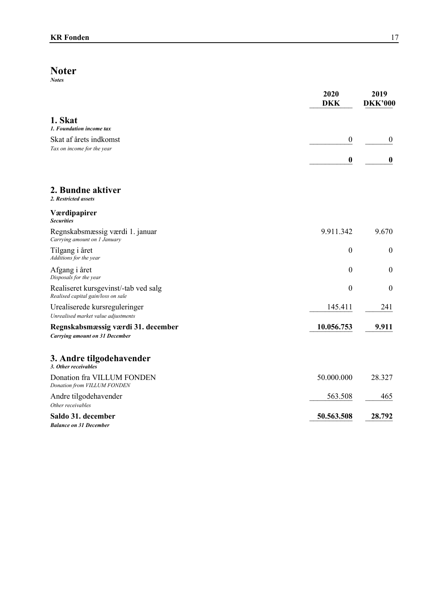# $\underset{\textit{Notes}}{\textbf{Noter}}$

|                                                                             | 2020<br><b>DKK</b> | 2019<br><b>DKK'000</b> |
|-----------------------------------------------------------------------------|--------------------|------------------------|
| 1. Skat<br>1. Foundation income tax                                         |                    |                        |
| Skat af årets indkomst                                                      | $\boldsymbol{0}$   | $\boldsymbol{0}$       |
| Tax on income for the year                                                  |                    |                        |
|                                                                             | $\bf{0}$           | $\boldsymbol{0}$       |
| 2. Bundne aktiver<br>2. Restricted assets                                   |                    |                        |
| Værdipapirer<br><b>Securities</b>                                           |                    |                        |
| Regnskabsmæssig værdi 1. januar<br>Carrying amount on 1 January             | 9.911.342          | 9.670                  |
| Tilgang i året<br>Additions for the year                                    | $\boldsymbol{0}$   | $\boldsymbol{0}$       |
| Afgang i året<br>Disposals for the year                                     | $\boldsymbol{0}$   | $\boldsymbol{0}$       |
| Realiseret kursgevinst/-tab ved salg<br>Realised capital gain/loss on sale  | $\boldsymbol{0}$   | $\boldsymbol{0}$       |
| Urealiserede kursreguleringer<br>Unrealised market value adjustments        | 145.411            | 241                    |
| Regnskabsmæssig værdi 31. december<br><b>Carrying amount on 31 December</b> | 10.056.753         | 9.911                  |
| 3. Andre tilgodehavender<br>3. Other receivables                            |                    |                        |
| Donation fra VILLUM FONDEN<br>Donation from VILLUM FONDEN                   | 50.000.000         | 28.327                 |
| Andre tilgodehavender<br>Other receivables                                  | 563.508            | 465                    |
| Saldo 31. december<br><b>Balance on 31 December</b>                         | 50.563.508         | 28.792                 |